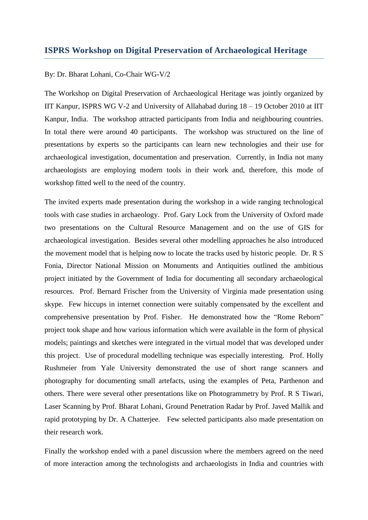## **ISPRS Workshop on Digital Preservation of Archaeological Heritage**

## By: Dr. Bharat Lohani, Co-Chair WG-V/2

The Workshop on Digital Preservation of Archaeological Heritage was jointly organized by IIT Kanpur, ISPRS WG V-2 and University of Allahabad during 18 – 19 October 2010 at IIT Kanpur, India. The workshop attracted participants from India and neighbouring countries. In total there were around 40 participants. The workshop was structured on the line of presentations by experts so the participants can learn new technologies and their use for archaeological investigation, documentation and preservation. Currently, in India not many archaeologists are employing modern tools in their work and, therefore, this mode of workshop fitted well to the need of the country.

The invited experts made presentation during the workshop in a wide ranging technological tools with case studies in archaeology. Prof. Gary Lock from the University of Oxford made two presentations on the Cultural Resource Management and on the use of GIS for archaeological investigation. Besides several other modelling approaches he also introduced the movement model that is helping now to locate the tracks used by historic people. Dr. R S Fonia, Director National Mission on Monuments and Antiquities outlined the ambitious project initiated by the Government of India for documenting all secondary archaeological resources. Prof. Bernard Frischer from the University of Virginia made presentation using skype. Few hiccups in internet connection were suitably compensated by the excellent and comprehensive presentation by Prof. Fisher. He demonstrated how the "Rome Reborn" project took shape and how various information which were available in the form of physical models; paintings and sketches were integrated in the virtual model that was developed under this project. Use of procedural modelling technique was especially interesting. Prof. Holly Rushmeier from Yale University demonstrated the use of short range scanners and photography for documenting small artefacts, using the examples of Peta, Parthenon and others. There were several other presentations like on Photogrammetry by Prof. R S Tiwari, Laser Scanning by Prof. Bharat Lohani, Ground Penetration Radar by Prof. Javed Mallik and rapid prototyping by Dr. A Chatterjee. Few selected participants also made presentation on their research work.

Finally the workshop ended with a panel discussion where the members agreed on the need of more interaction among the technologists and archaeologists in India and countries with